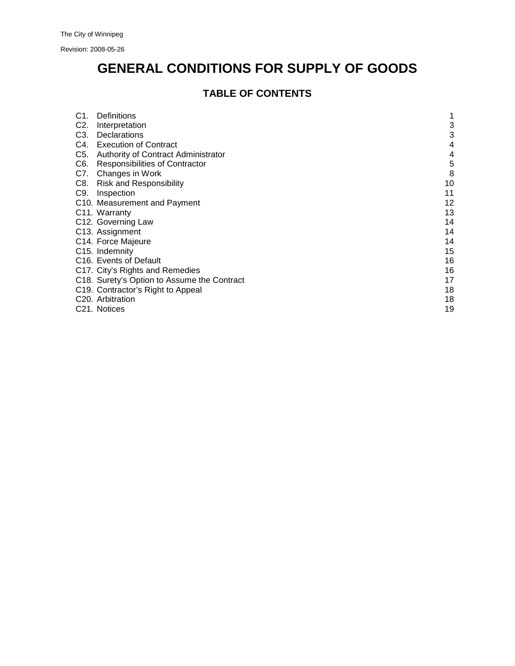Revision: 2008-05-26

# **GENERAL CONDITIONS FOR SUPPLY OF GOODS**

# **TABLE OF CONTENTS**

| C1.              | <b>Definitions</b>                          |    |
|------------------|---------------------------------------------|----|
| C <sub>2</sub> . | Interpretation                              | 3  |
| C3.              | Declarations                                | 3  |
| C4.              | <b>Execution of Contract</b>                | 4  |
| C5.              | Authority of Contract Administrator         | 4  |
| C6.              | <b>Responsibilities of Contractor</b>       | 5  |
| C7.              | Changes in Work                             | 8  |
| C8.              | <b>Risk and Responsibility</b>              | 10 |
| C9.              | Inspection                                  | 11 |
|                  | C10. Measurement and Payment                | 12 |
|                  | C11. Warranty                               | 13 |
|                  | C12. Governing Law                          | 14 |
|                  | C13. Assignment                             | 14 |
|                  | C14. Force Majeure                          | 14 |
|                  | C <sub>15</sub> . Indemnity                 | 15 |
|                  | C <sub>16</sub> . Events of Default         | 16 |
|                  | C17. City's Rights and Remedies             | 16 |
|                  | C18. Surety's Option to Assume the Contract | 17 |
|                  | C19. Contractor's Right to Appeal           | 18 |
|                  | C <sub>20</sub> . Arbitration               | 18 |
|                  | C <sub>21</sub> . Notices                   | 19 |
|                  |                                             |    |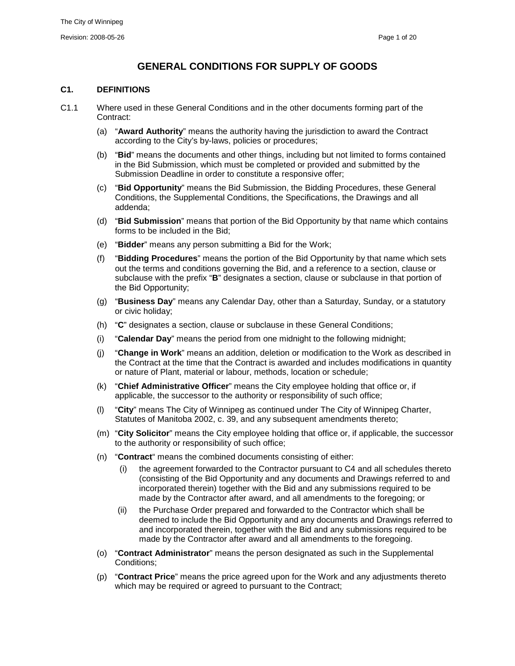# **GENERAL CONDITIONS FOR SUPPLY OF GOODS**

#### <span id="page-1-0"></span>**C1. DEFINITIONS**

- C1.1 Where used in these General Conditions and in the other documents forming part of the Contract:
	- (a) "**Award Authority**" means the authority having the jurisdiction to award the Contract according to the City's by-laws, policies or procedures;
	- (b) "**Bid**" means the documents and other things, including but not limited to forms contained in the Bid Submission, which must be completed or provided and submitted by the Submission Deadline in order to constitute a responsive offer;
	- (c) "**Bid Opportunity**" means the Bid Submission, the Bidding Procedures, these General Conditions, the Supplemental Conditions, the Specifications, the Drawings and all addenda;
	- (d) "**Bid Submission**" means that portion of the Bid Opportunity by that name which contains forms to be included in the Bid;
	- (e) "**Bidder**" means any person submitting a Bid for the Work;
	- (f) "**Bidding Procedures**" means the portion of the Bid Opportunity by that name which sets out the terms and conditions governing the Bid, and a reference to a section, clause or subclause with the prefix "**B**" designates a section, clause or subclause in that portion of the Bid Opportunity;
	- (g) "**Business Day**" means any Calendar Day, other than a Saturday, Sunday, or a statutory or civic holiday;
	- (h) "**C**" designates a section, clause or subclause in these General Conditions;
	- (i) "**Calendar Day**" means the period from one midnight to the following midnight;
	- (j) "**Change in Work**" means an addition, deletion or modification to the Work as described in the Contract at the time that the Contract is awarded and includes modifications in quantity or nature of Plant, material or labour, methods, location or schedule;
	- (k) "**Chief Administrative Officer**" means the City employee holding that office or, if applicable, the successor to the authority or responsibility of such office;
	- (l) "**City**" means The City of Winnipeg as continued under The City of Winnipeg Charter, Statutes of Manitoba 2002, c. 39, and any subsequent amendments thereto;
	- (m) "**City Solicitor**" means the City employee holding that office or, if applicable, the successor to the authority or responsibility of such office;
	- (n) "**Contract**" means the combined documents consisting of either:
		- (i) the agreement forwarded to the Contractor pursuant to [C4](#page-4-0) and all schedules thereto (consisting of the Bid Opportunity and any documents and Drawings referred to and incorporated therein) together with the Bid and any submissions required to be made by the Contractor after award, and all amendments to the foregoing; or
		- (ii) the Purchase Order prepared and forwarded to the Contractor which shall be deemed to include the Bid Opportunity and any documents and Drawings referred to and incorporated therein, together with the Bid and any submissions required to be made by the Contractor after award and all amendments to the foregoing.
	- (o) "**Contract Administrator**" means the person designated as such in the Supplemental Conditions;
	- (p) "**Contract Price**" means the price agreed upon for the Work and any adjustments thereto which may be required or agreed to pursuant to the Contract;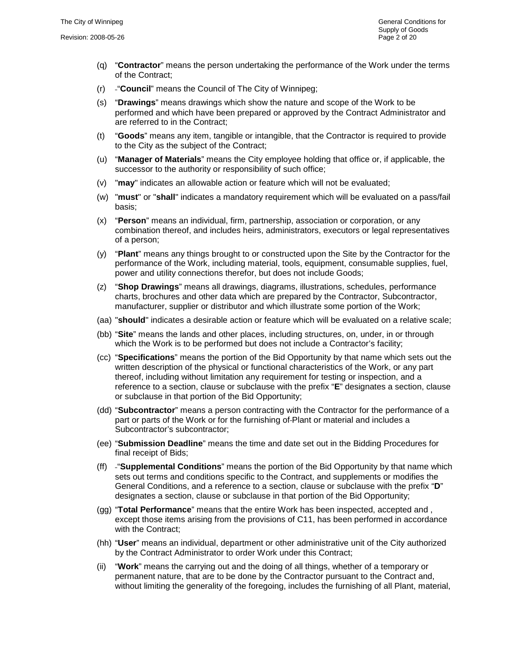- (q) "**Contractor**" means the person undertaking the performance of the Work under the terms of the Contract;
- (r) "**Council**" means the Council of The City of Winnipeg;
- (s) "**Drawings**" means drawings which show the nature and scope of the Work to be performed and which have been prepared or approved by the Contract Administrator and are referred to in the Contract;
- (t) "**Goods**" means any item, tangible or intangible, that the Contractor is required to provide to the City as the subject of the Contract;
- (u) "**Manager of Materials**" means the City employee holding that office or, if applicable, the successor to the authority or responsibility of such office;
- (v) "**may**" indicates an allowable action or feature which will not be evaluated;
- (w) "**must**" or "**shall**" indicates a mandatory requirement which will be evaluated on a pass/fail basis;
- (x) "**Person**" means an individual, firm, partnership, association or corporation, or any combination thereof, and includes heirs, administrators, executors or legal representatives of a person;
- (y) "**Plant**" means any things brought to or constructed upon the Site by the Contractor for the performance of the Work, including material, tools, equipment, consumable supplies, fuel, power and utility connections therefor, but does not include Goods;
- (z) "**Shop Drawings**" means all drawings, diagrams, illustrations, schedules, performance charts, brochures and other data which are prepared by the Contractor, Subcontractor, manufacturer, supplier or distributor and which illustrate some portion of the Work;
- (aa) "**should**" indicates a desirable action or feature which will be evaluated on a relative scale;
- (bb) "**Site**" means the lands and other places, including structures, on, under, in or through which the Work is to be performed but does not include a Contractor's facility;
- (cc) "**Specifications**" means the portion of the Bid Opportunity by that name which sets out the written description of the physical or functional characteristics of the Work, or any part thereof, including without limitation any requirement for testing or inspection, and a reference to a section, clause or subclause with the prefix "**E**" designates a section, clause or subclause in that portion of the Bid Opportunity;
- (dd) "**Subcontractor**" means a person contracting with the Contractor for the performance of a part or parts of the Work or for the furnishing of Plant or material and includes a Subcontractor's subcontractor;
- (ee) "**Submission Deadline**" means the time and date set out in the Bidding Procedures for final receipt of Bids;
- (ff) "**Supplemental Conditions**" means the portion of the Bid Opportunity by that name which sets out terms and conditions specific to the Contract, and supplements or modifies the General Conditions, and a reference to a section, clause or subclause with the prefix "**D**" designates a section, clause or subclause in that portion of the Bid Opportunity;
- (gg) "**Total Performance**" means that the entire Work has been inspected, accepted and , except those items arising from the provisions of [C11,](#page-13-0) has been performed in accordance with the Contract;
- (hh) "**User**" means an individual, department or other administrative unit of the City authorized by the Contract Administrator to order Work under this Contract;
- (ii) "**Work**" means the carrying out and the doing of all things, whether of a temporary or permanent nature, that are to be done by the Contractor pursuant to the Contract and, without limiting the generality of the foregoing, includes the furnishing of all Plant, material,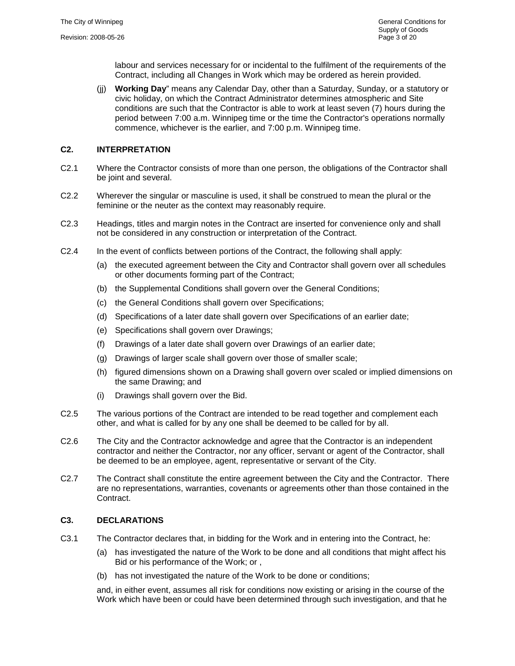labour and services necessary for or incidental to the fulfilment of the requirements of the Contract, including all Changes in Work which may be ordered as herein provided.

(jj) **Working Day**" means any Calendar Day, other than a Saturday, Sunday, or a statutory or civic holiday, on which the Contract Administrator determines atmospheric and Site conditions are such that the Contractor is able to work at least seven (7) hours during the period between 7:00 a.m. Winnipeg time or the time the Contractor's operations normally commence, whichever is the earlier, and 7:00 p.m. Winnipeg time.

# <span id="page-3-0"></span>**C2. INTERPRETATION**

- C2.1 Where the Contractor consists of more than one person, the obligations of the Contractor shall be joint and several.
- C2.2 Wherever the singular or masculine is used, it shall be construed to mean the plural or the feminine or the neuter as the context may reasonably require.
- C2.3 Headings, titles and margin notes in the Contract are inserted for convenience only and shall not be considered in any construction or interpretation of the Contract.
- C2.4 In the event of conflicts between portions of the Contract, the following shall apply:
	- (a) the executed agreement between the City and Contractor shall govern over all schedules or other documents forming part of the Contract;
	- (b) the Supplemental Conditions shall govern over the General Conditions;
	- (c) the General Conditions shall govern over Specifications;
	- (d) Specifications of a later date shall govern over Specifications of an earlier date;
	- (e) Specifications shall govern over Drawings;
	- (f) Drawings of a later date shall govern over Drawings of an earlier date;
	- (g) Drawings of larger scale shall govern over those of smaller scale;
	- (h) figured dimensions shown on a Drawing shall govern over scaled or implied dimensions on the same Drawing; and
	- (i) Drawings shall govern over the Bid.
- C2.5 The various portions of the Contract are intended to be read together and complement each other, and what is called for by any one shall be deemed to be called for by all.
- C2.6 The City and the Contractor acknowledge and agree that the Contractor is an independent contractor and neither the Contractor, nor any officer, servant or agent of the Contractor, shall be deemed to be an employee, agent, representative or servant of the City.
- C2.7 The Contract shall constitute the entire agreement between the City and the Contractor. There are no representations, warranties, covenants or agreements other than those contained in the **Contract**

# <span id="page-3-1"></span>**C3. DECLARATIONS**

- C3.1 The Contractor declares that, in bidding for the Work and in entering into the Contract, he:
	- (a) has investigated the nature of the Work to be done and all conditions that might affect his Bid or his performance of the Work; or ,
	- (b) has not investigated the nature of the Work to be done or conditions;

and, in either event, assumes all risk for conditions now existing or arising in the course of the Work which have been or could have been determined through such investigation, and that he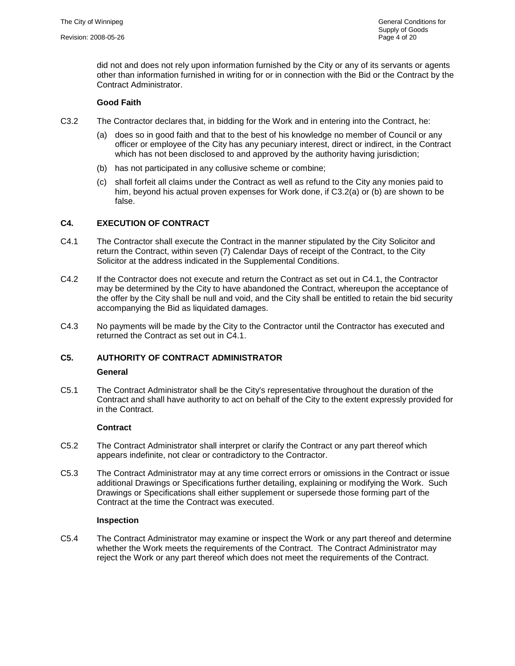did not and does not rely upon information furnished by the City or any of its servants or agents other than information furnished in writing for or in connection with the Bid or the Contract by the Contract Administrator.

# **Good Faith**

- <span id="page-4-2"></span>C3.2 The Contractor declares that, in bidding for the Work and in entering into the Contract, he:
	- (a) does so in good faith and that to the best of his knowledge no member of Council or any officer or employee of the City has any pecuniary interest, direct or indirect, in the Contract which has not been disclosed to and approved by the authority having jurisdiction;
	- (b) has not participated in any collusive scheme or combine;
	- (c) shall forfeit all claims under the Contract as well as refund to the City any monies paid to him, beyond his actual proven expenses for Work done, if [C3.2\(](#page-4-2)a) or (b) are shown to be false.

# <span id="page-4-3"></span><span id="page-4-0"></span>**C4. EXECUTION OF CONTRACT**

- C4.1 The Contractor shall execute the Contract in the manner stipulated by the City Solicitor and return the Contract, within seven (7) Calendar Days of receipt of the Contract, to the City Solicitor at the address indicated in the Supplemental Conditions.
- C4.2 If the Contractor does not execute and return the Contract as set out in [C4.1,](#page-4-3) the Contractor may be determined by the City to have abandoned the Contract, whereupon the acceptance of the offer by the City shall be null and void, and the City shall be entitled to retain the bid security accompanying the Bid as liquidated damages.
- C4.3 No payments will be made by the City to the Contractor until the Contractor has executed and returned the Contract as set out in [C4.1.](#page-4-3)

# <span id="page-4-1"></span>**C5. AUTHORITY OF CONTRACT ADMINISTRATOR General**

C5.1 The Contract Administrator shall be the City's representative throughout the duration of the Contract and shall have authority to act on behalf of the City to the extent expressly provided for in the Contract.

#### **Contract**

- C5.2 The Contract Administrator shall interpret or clarify the Contract or any part thereof which appears indefinite, not clear or contradictory to the Contractor.
- C5.3 The Contract Administrator may at any time correct errors or omissions in the Contract or issue additional Drawings or Specifications further detailing, explaining or modifying the Work. Such Drawings or Specifications shall either supplement or supersede those forming part of the Contract at the time the Contract was executed.

#### **Inspection**

C5.4 The Contract Administrator may examine or inspect the Work or any part thereof and determine whether the Work meets the requirements of the Contract. The Contract Administrator may reject the Work or any part thereof which does not meet the requirements of the Contract.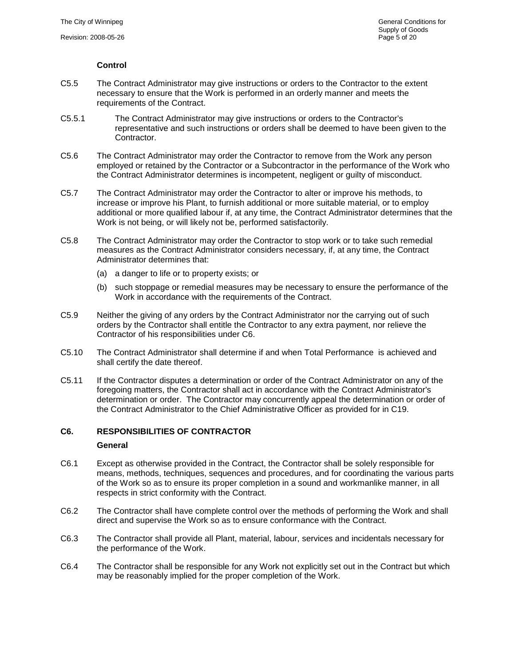# **Control**

- C5.5 The Contract Administrator may give instructions or orders to the Contractor to the extent necessary to ensure that the Work is performed in an orderly manner and meets the requirements of the Contract.
- C5.5.1 The Contract Administrator may give instructions or orders to the Contractor's representative and such instructions or orders shall be deemed to have been given to the Contractor.
- C5.6 The Contract Administrator may order the Contractor to remove from the Work any person employed or retained by the Contractor or a Subcontractor in the performance of the Work who the Contract Administrator determines is incompetent, negligent or guilty of misconduct.
- C5.7 The Contract Administrator may order the Contractor to alter or improve his methods, to increase or improve his Plant, to furnish additional or more suitable material, or to employ additional or more qualified labour if, at any time, the Contract Administrator determines that the Work is not being, or will likely not be, performed satisfactorily.
- C5.8 The Contract Administrator may order the Contractor to stop work or to take such remedial measures as the Contract Administrator considers necessary, if, at any time, the Contract Administrator determines that:
	- (a) a danger to life or to property exists; or
	- (b) such stoppage or remedial measures may be necessary to ensure the performance of the Work in accordance with the requirements of the Contract.
- C5.9 Neither the giving of any orders by the Contract Administrator nor the carrying out of such orders by the Contractor shall entitle the Contractor to any extra payment, nor relieve the Contractor of his responsibilities under [C6.](#page-5-0)
- C5.10 The Contract Administrator shall determine if and when Total Performance is achieved and shall certify the date thereof.
- C5.11 If the Contractor disputes a determination or order of the Contract Administrator on any of the foregoing matters, the Contractor shall act in accordance with the Contract Administrator's determination or order. The Contractor may concurrently appeal the determination or order of the Contract Administrator to the Chief Administrative Officer as provided for in [C19.](#page-18-0)

# <span id="page-5-0"></span>**C6. RESPONSIBILITIES OF CONTRACTOR**

#### **General**

- C6.1 Except as otherwise provided in the Contract, the Contractor shall be solely responsible for means, methods, techniques, sequences and procedures, and for coordinating the various parts of the Work so as to ensure its proper completion in a sound and workmanlike manner, in all respects in strict conformity with the Contract.
- C6.2 The Contractor shall have complete control over the methods of performing the Work and shall direct and supervise the Work so as to ensure conformance with the Contract.
- C6.3 The Contractor shall provide all Plant, material, labour, services and incidentals necessary for the performance of the Work.
- C6.4 The Contractor shall be responsible for any Work not explicitly set out in the Contract but which may be reasonably implied for the proper completion of the Work.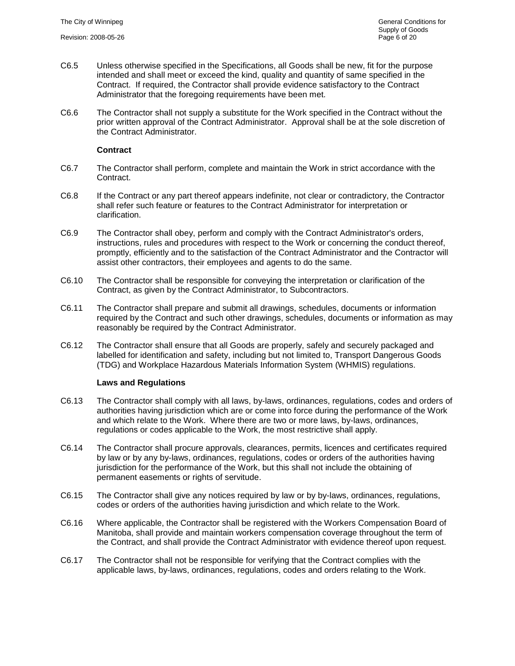- C6.5 Unless otherwise specified in the Specifications, all Goods shall be new, fit for the purpose intended and shall meet or exceed the kind, quality and quantity of same specified in the Contract. If required, the Contractor shall provide evidence satisfactory to the Contract Administrator that the foregoing requirements have been met.
- C6.6 The Contractor shall not supply a substitute for the Work specified in the Contract without the prior written approval of the Contract Administrator. Approval shall be at the sole discretion of the Contract Administrator.

#### **Contract**

- C6.7 The Contractor shall perform, complete and maintain the Work in strict accordance with the Contract.
- C6.8 If the Contract or any part thereof appears indefinite, not clear or contradictory, the Contractor shall refer such feature or features to the Contract Administrator for interpretation or clarification.
- C6.9 The Contractor shall obey, perform and comply with the Contract Administrator's orders, instructions, rules and procedures with respect to the Work or concerning the conduct thereof, promptly, efficiently and to the satisfaction of the Contract Administrator and the Contractor will assist other contractors, their employees and agents to do the same.
- C6.10 The Contractor shall be responsible for conveying the interpretation or clarification of the Contract, as given by the Contract Administrator, to Subcontractors.
- C6.11 The Contractor shall prepare and submit all drawings, schedules, documents or information required by the Contract and such other drawings, schedules, documents or information as may reasonably be required by the Contract Administrator.
- C6.12 The Contractor shall ensure that all Goods are properly, safely and securely packaged and labelled for identification and safety, including but not limited to, Transport Dangerous Goods (TDG) and Workplace Hazardous Materials Information System (WHMIS) regulations.

#### **Laws and Regulations**

- C6.13 The Contractor shall comply with all laws, by-laws, ordinances, regulations, codes and orders of authorities having jurisdiction which are or come into force during the performance of the Work and which relate to the Work. Where there are two or more laws, by-laws, ordinances, regulations or codes applicable to the Work, the most restrictive shall apply.
- C6.14 The Contractor shall procure approvals, clearances, permits, licences and certificates required by law or by any by-laws, ordinances, regulations, codes or orders of the authorities having jurisdiction for the performance of the Work, but this shall not include the obtaining of permanent easements or rights of servitude.
- C6.15 The Contractor shall give any notices required by law or by by-laws, ordinances, regulations, codes or orders of the authorities having jurisdiction and which relate to the Work.
- C6.16 Where applicable, the Contractor shall be registered with the Workers Compensation Board of Manitoba, shall provide and maintain workers compensation coverage throughout the term of the Contract, and shall provide the Contract Administrator with evidence thereof upon request.
- C6.17 The Contractor shall not be responsible for verifying that the Contract complies with the applicable laws, by-laws, ordinances, regulations, codes and orders relating to the Work.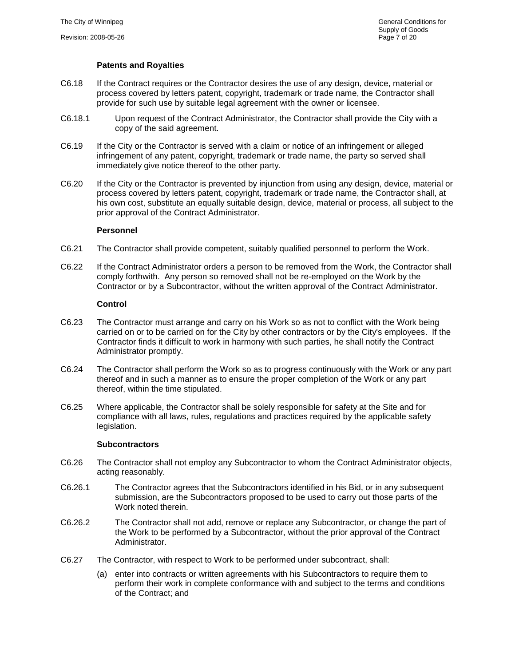# **Patents and Royalties**

- C6.18 If the Contract requires or the Contractor desires the use of any design, device, material or process covered by letters patent, copyright, trademark or trade name, the Contractor shall provide for such use by suitable legal agreement with the owner or licensee.
- C6.18.1 Upon request of the Contract Administrator, the Contractor shall provide the City with a copy of the said agreement.
- C6.19 If the City or the Contractor is served with a claim or notice of an infringement or alleged infringement of any patent, copyright, trademark or trade name, the party so served shall immediately give notice thereof to the other party.
- C6.20 If the City or the Contractor is prevented by injunction from using any design, device, material or process covered by letters patent, copyright, trademark or trade name, the Contractor shall, at his own cost, substitute an equally suitable design, device, material or process, all subject to the prior approval of the Contract Administrator.

#### **Personnel**

- C6.21 The Contractor shall provide competent, suitably qualified personnel to perform the Work.
- C6.22 If the Contract Administrator orders a person to be removed from the Work, the Contractor shall comply forthwith. Any person so removed shall not be re-employed on the Work by the Contractor or by a Subcontractor, without the written approval of the Contract Administrator.

#### **Control**

- C6.23 The Contractor must arrange and carry on his Work so as not to conflict with the Work being carried on or to be carried on for the City by other contractors or by the City's employees. If the Contractor finds it difficult to work in harmony with such parties, he shall notify the Contract Administrator promptly.
- C6.24 The Contractor shall perform the Work so as to progress continuously with the Work or any part thereof and in such a manner as to ensure the proper completion of the Work or any part thereof, within the time stipulated.
- C6.25 Where applicable, the Contractor shall be solely responsible for safety at the Site and for compliance with all laws, rules, regulations and practices required by the applicable safety legislation.

#### **Subcontractors**

- C6.26 The Contractor shall not employ any Subcontractor to whom the Contract Administrator objects, acting reasonably.
- C6.26.1 The Contractor agrees that the Subcontractors identified in his Bid, or in any subsequent submission, are the Subcontractors proposed to be used to carry out those parts of the Work noted therein
- C6.26.2 The Contractor shall not add, remove or replace any Subcontractor, or change the part of the Work to be performed by a Subcontractor, without the prior approval of the Contract Administrator.
- C6.27 The Contractor, with respect to Work to be performed under subcontract, shall:
	- (a) enter into contracts or written agreements with his Subcontractors to require them to perform their work in complete conformance with and subject to the terms and conditions of the Contract; and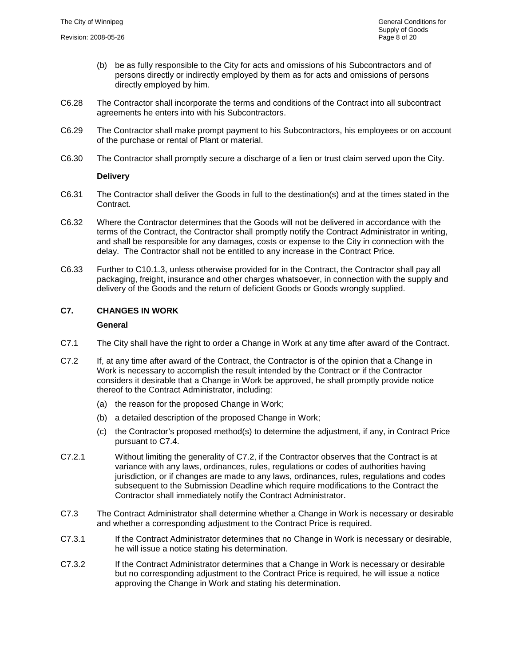- (b) be as fully responsible to the City for acts and omissions of his Subcontractors and of persons directly or indirectly employed by them as for acts and omissions of persons directly employed by him.
- C6.28 The Contractor shall incorporate the terms and conditions of the Contract into all subcontract agreements he enters into with his Subcontractors.
- C6.29 The Contractor shall make prompt payment to his Subcontractors, his employees or on account of the purchase or rental of Plant or material.
- C6.30 The Contractor shall promptly secure a discharge of a lien or trust claim served upon the City.

#### **Delivery**

- C6.31 The Contractor shall deliver the Goods in full to the destination(s) and at the times stated in the Contract.
- C6.32 Where the Contractor determines that the Goods will not be delivered in accordance with the terms of the Contract, the Contractor shall promptly notify the Contract Administrator in writing, and shall be responsible for any damages, costs or expense to the City in connection with the delay. The Contractor shall not be entitled to any increase in the Contract Price.
- C6.33 Further to [C10.1.3,](#page-12-1) unless otherwise provided for in the Contract, the Contractor shall pay all packaging, freight, insurance and other charges whatsoever, in connection with the supply and delivery of the Goods and the return of deficient Goods or Goods wrongly supplied.

# <span id="page-8-0"></span>**C7. CHANGES IN WORK**

#### **General**

- <span id="page-8-1"></span>C7.1 The City shall have the right to order a Change in Work at any time after award of the Contract.
- C7.2 If, at any time after award of the Contract, the Contractor is of the opinion that a Change in Work is necessary to accomplish the result intended by the Contract or if the Contractor considers it desirable that a Change in Work be approved, he shall promptly provide notice thereof to the Contract Administrator, including:
	- (a) the reason for the proposed Change in Work;
	- (b) a detailed description of the proposed Change in Work;
	- (c) the Contractor's proposed method(s) to determine the adjustment, if any, in Contract Price pursuant to [C7.4.](#page-9-0)
- C7.2.1 Without limiting the generality of [C7.2,](#page-8-1) if the Contractor observes that the Contract is at variance with any laws, ordinances, rules, regulations or codes of authorities having jurisdiction, or if changes are made to any laws, ordinances, rules, regulations and codes subsequent to the Submission Deadline which require modifications to the Contract the Contractor shall immediately notify the Contract Administrator.
- C7.3 The Contract Administrator shall determine whether a Change in Work is necessary or desirable and whether a corresponding adjustment to the Contract Price is required.
- C7.3.1 If the Contract Administrator determines that no Change in Work is necessary or desirable, he will issue a notice stating his determination.
- C7.3.2 If the Contract Administrator determines that a Change in Work is necessary or desirable but no corresponding adjustment to the Contract Price is required, he will issue a notice approving the Change in Work and stating his determination.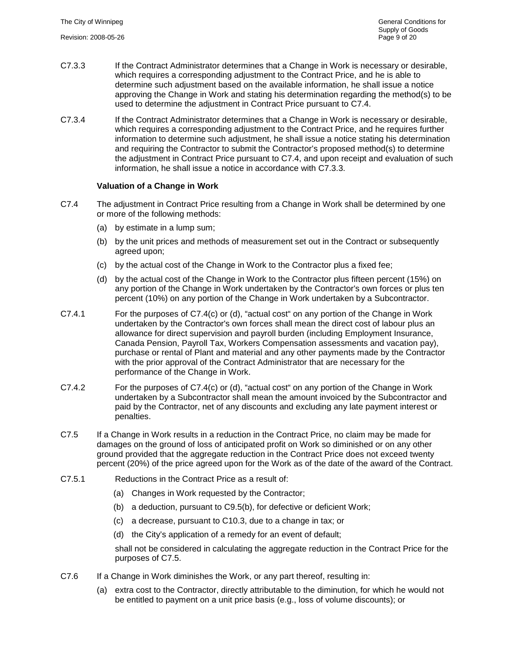- <span id="page-9-1"></span>C7.3.3 If the Contract Administrator determines that a Change in Work is necessary or desirable, which requires a corresponding adjustment to the Contract Price, and he is able to determine such adjustment based on the available information, he shall issue a notice approving the Change in Work and stating his determination regarding the method(s) to be used to determine the adjustment in Contract Price pursuant to [C7.4.](#page-9-0)
- C7.3.4 If the Contract Administrator determines that a Change in Work is necessary or desirable, which requires a corresponding adjustment to the Contract Price, and he requires further information to determine such adjustment, he shall issue a notice stating his determination and requiring the Contractor to submit the Contractor's proposed method(s) to determine the adjustment in Contract Price pursuant to [C7.4,](#page-9-0) and upon receipt and evaluation of such information, he shall issue a notice in accordance with [C7.3.3.](#page-9-1)

#### **Valuation of a Change in Work**

- <span id="page-9-0"></span>C7.4 The adjustment in Contract Price resulting from a Change in Work shall be determined by one or more of the following methods:
	- (a) by estimate in a lump sum;
	- (b) by the unit prices and methods of measurement set out in the Contract or subsequently agreed upon;
	- (c) by the actual cost of the Change in Work to the Contractor plus a fixed fee;
	- (d) by the actual cost of the Change in Work to the Contractor plus fifteen percent (15%) on any portion of the Change in Work undertaken by the Contractor's own forces or plus ten percent (10%) on any portion of the Change in Work undertaken by a Subcontractor.
- C7.4.1 For the purposes of [C7.4\(](#page-9-0)c) or (d), "actual cost" on any portion of the Change in Work undertaken by the Contractor's own forces shall mean the direct cost of labour plus an allowance for direct supervision and payroll burden (including Employment Insurance, Canada Pension, Payroll Tax, Workers Compensation assessments and vacation pay), purchase or rental of Plant and material and any other payments made by the Contractor with the prior approval of the Contract Administrator that are necessary for the performance of the Change in Work.
- C7.4.2 For the purposes of [C7.4\(](#page-9-0)c) or (d), "actual cost" on any portion of the Change in Work undertaken by a Subcontractor shall mean the amount invoiced by the Subcontractor and paid by the Contractor, net of any discounts and excluding any late payment interest or penalties.
- <span id="page-9-2"></span>C7.5 If a Change in Work results in a reduction in the Contract Price, no claim may be made for damages on the ground of loss of anticipated profit on Work so diminished or on any other ground provided that the aggregate reduction in the Contract Price does not exceed twenty percent (20%) of the price agreed upon for the Work as of the date of the award of the Contract.
- C7.5.1 Reductions in the Contract Price as a result of:
	- (a) Changes in Work requested by the Contractor;
	- (b) a deduction, pursuant to [C9.5\(](#page-11-1)b), for defective or deficient Work;
	- (c) a decrease, pursuant to [C10.3,](#page-12-2) due to a change in tax; or
	- (d) the City's application of a remedy for an event of default;

shall not be considered in calculating the aggregate reduction in the Contract Price for the purposes of [C7.5.](#page-9-2)

- <span id="page-9-3"></span>C7.6 If a Change in Work diminishes the Work, or any part thereof, resulting in:
	- (a) extra cost to the Contractor, directly attributable to the diminution, for which he would not be entitled to payment on a unit price basis (e.g., loss of volume discounts); or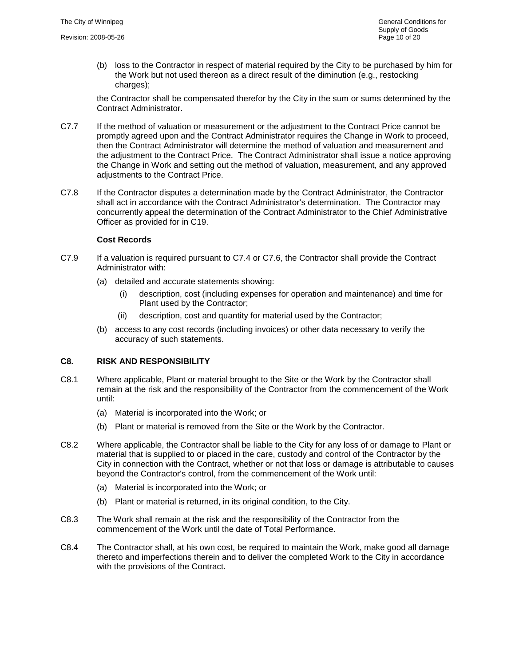(b) loss to the Contractor in respect of material required by the City to be purchased by him for the Work but not used thereon as a direct result of the diminution (e.g., restocking charges):

the Contractor shall be compensated therefor by the City in the sum or sums determined by the Contract Administrator.

- C7.7 If the method of valuation or measurement or the adjustment to the Contract Price cannot be promptly agreed upon and the Contract Administrator requires the Change in Work to proceed, then the Contract Administrator will determine the method of valuation and measurement and the adjustment to the Contract Price. The Contract Administrator shall issue a notice approving the Change in Work and setting out the method of valuation, measurement, and any approved adjustments to the Contract Price.
- C7.8 If the Contractor disputes a determination made by the Contract Administrator, the Contractor shall act in accordance with the Contract Administrator's determination. The Contractor may concurrently appeal the determination of the Contract Administrator to the Chief Administrative Officer as provided for in [C19.](#page-18-0)

#### **Cost Records**

- C7.9 If a valuation is required pursuant to [C7.4](#page-9-0) or [C7.6,](#page-9-3) the Contractor shall provide the Contract Administrator with:
	- (a) detailed and accurate statements showing:
		- (i) description, cost (including expenses for operation and maintenance) and time for Plant used by the Contractor;
		- (ii) description, cost and quantity for material used by the Contractor;
	- (b) access to any cost records (including invoices) or other data necessary to verify the accuracy of such statements.

# <span id="page-10-0"></span>**C8. RISK AND RESPONSIBILITY**

- C8.1 Where applicable, Plant or material brought to the Site or the Work by the Contractor shall remain at the risk and the responsibility of the Contractor from the commencement of the Work until:
	- (a) Material is incorporated into the Work; or
	- (b) Plant or material is removed from the Site or the Work by the Contractor.
- C8.2 Where applicable, the Contractor shall be liable to the City for any loss of or damage to Plant or material that is supplied to or placed in the care, custody and control of the Contractor by the City in connection with the Contract, whether or not that loss or damage is attributable to causes beyond the Contractor's control, from the commencement of the Work until:
	- (a) Material is incorporated into the Work; or
	- (b) Plant or material is returned, in its original condition, to the City.
- C8.3 The Work shall remain at the risk and the responsibility of the Contractor from the commencement of the Work until the date of Total Performance.
- C8.4 The Contractor shall, at his own cost, be required to maintain the Work, make good all damage thereto and imperfections therein and to deliver the completed Work to the City in accordance with the provisions of the Contract.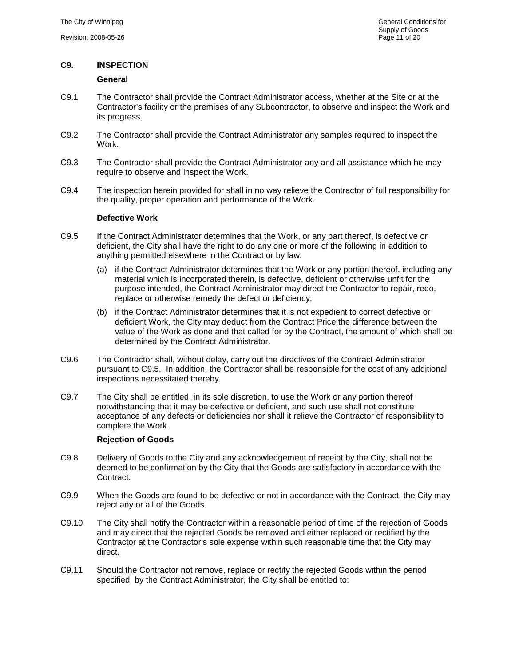# <span id="page-11-0"></span>**C9. INSPECTION**

# **General**

- C9.1 The Contractor shall provide the Contract Administrator access, whether at the Site or at the Contractor's facility or the premises of any Subcontractor, to observe and inspect the Work and its progress.
- C9.2 The Contractor shall provide the Contract Administrator any samples required to inspect the Work.
- C9.3 The Contractor shall provide the Contract Administrator any and all assistance which he may require to observe and inspect the Work.
- C9.4 The inspection herein provided for shall in no way relieve the Contractor of full responsibility for the quality, proper operation and performance of the Work.

# **Defective Work**

- <span id="page-11-1"></span>C9.5 If the Contract Administrator determines that the Work, or any part thereof, is defective or deficient, the City shall have the right to do any one or more of the following in addition to anything permitted elsewhere in the Contract or by law:
	- (a) if the Contract Administrator determines that the Work or any portion thereof, including any material which is incorporated therein, is defective, deficient or otherwise unfit for the purpose intended, the Contract Administrator may direct the Contractor to repair, redo, replace or otherwise remedy the defect or deficiency;
	- (b) if the Contract Administrator determines that it is not expedient to correct defective or deficient Work, the City may deduct from the Contract Price the difference between the value of the Work as done and that called for by the Contract, the amount of which shall be determined by the Contract Administrator.
- C9.6 The Contractor shall, without delay, carry out the directives of the Contract Administrator pursuant to [C9.5.](#page-11-1) In addition, the Contractor shall be responsible for the cost of any additional inspections necessitated thereby.
- C9.7 The City shall be entitled, in its sole discretion, to use the Work or any portion thereof notwithstanding that it may be defective or deficient, and such use shall not constitute acceptance of any defects or deficiencies nor shall it relieve the Contractor of responsibility to complete the Work.

# **Rejection of Goods**

- C9.8 Delivery of Goods to the City and any acknowledgement of receipt by the City, shall not be deemed to be confirmation by the City that the Goods are satisfactory in accordance with the Contract.
- C9.9 When the Goods are found to be defective or not in accordance with the Contract, the City may reject any or all of the Goods.
- C9.10 The City shall notify the Contractor within a reasonable period of time of the rejection of Goods and may direct that the rejected Goods be removed and either replaced or rectified by the Contractor at the Contractor's sole expense within such reasonable time that the City may direct.
- C9.11 Should the Contractor not remove, replace or rectify the rejected Goods within the period specified, by the Contract Administrator, the City shall be entitled to: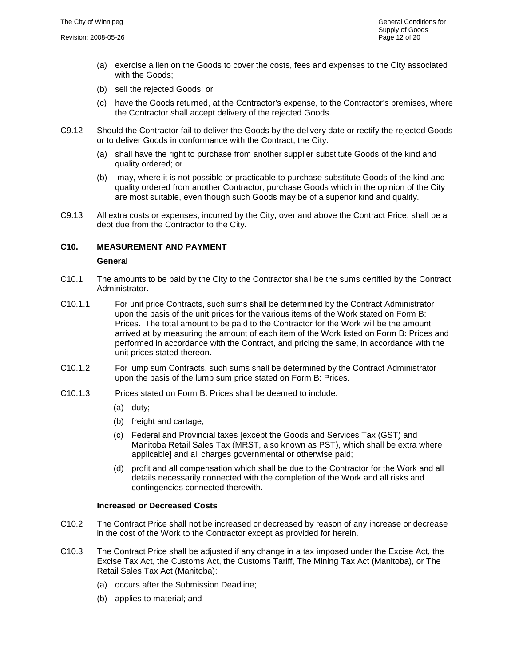- (a) exercise a lien on the Goods to cover the costs, fees and expenses to the City associated with the Goods;
- (b) sell the rejected Goods; or
- (c) have the Goods returned, at the Contractor's expense, to the Contractor's premises, where the Contractor shall accept delivery of the rejected Goods.
- C9.12 Should the Contractor fail to deliver the Goods by the delivery date or rectify the rejected Goods or to deliver Goods in conformance with the Contract, the City:
	- (a) shall have the right to purchase from another supplier substitute Goods of the kind and quality ordered; or
	- (b) may, where it is not possible or practicable to purchase substitute Goods of the kind and quality ordered from another Contractor, purchase Goods which in the opinion of the City are most suitable, even though such Goods may be of a superior kind and quality.
- C9.13 All extra costs or expenses, incurred by the City, over and above the Contract Price, shall be a debt due from the Contractor to the City.

# <span id="page-12-0"></span>**C10. MEASUREMENT AND PAYMENT**

#### **General**

- C10.1 The amounts to be paid by the City to the Contractor shall be the sums certified by the Contract Administrator.
- C10.1.1 For unit price Contracts, such sums shall be determined by the Contract Administrator upon the basis of the unit prices for the various items of the Work stated on Form B: Prices. The total amount to be paid to the Contractor for the Work will be the amount arrived at by measuring the amount of each item of the Work listed on Form B: Prices and performed in accordance with the Contract, and pricing the same, in accordance with the unit prices stated thereon.
- C10.1.2 For lump sum Contracts, such sums shall be determined by the Contract Administrator upon the basis of the lump sum price stated on Form B: Prices.
- <span id="page-12-1"></span>C10.1.3 Prices stated on Form B: Prices shall be deemed to include:
	- (a) duty;
	- (b) freight and cartage;
	- (c) Federal and Provincial taxes [except the Goods and Services Tax (GST) and Manitoba Retail Sales Tax (MRST, also known as PST), which shall be extra where applicable] and all charges governmental or otherwise paid;
	- (d) profit and all compensation which shall be due to the Contractor for the Work and all details necessarily connected with the completion of the Work and all risks and contingencies connected therewith.

#### **Increased or Decreased Costs**

- C10.2 The Contract Price shall not be increased or decreased by reason of any increase or decrease in the cost of the Work to the Contractor except as provided for herein.
- <span id="page-12-2"></span>C10.3 The Contract Price shall be adjusted if any change in a tax imposed under the Excise Act, the Excise Tax Act, the Customs Act, the Customs Tariff, The Mining Tax Act (Manitoba), or The Retail Sales Tax Act (Manitoba):
	- (a) occurs after the Submission Deadline;
	- (b) applies to material; and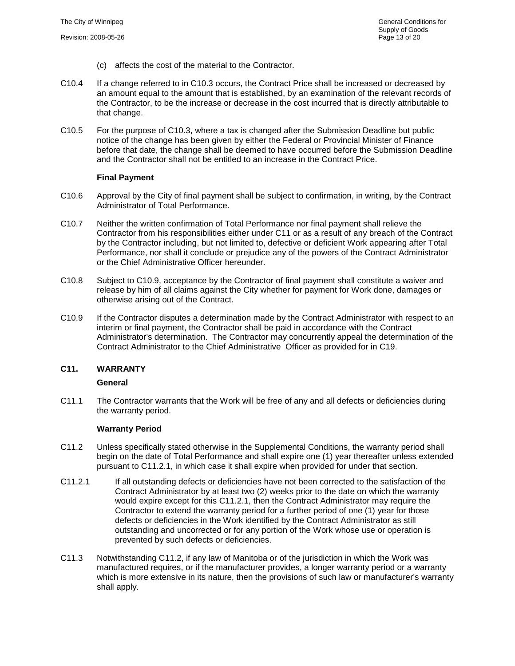- (c) affects the cost of the material to the Contractor.
- C10.4 If a change referred to in [C10.3](#page-12-2) occurs, the Contract Price shall be increased or decreased by an amount equal to the amount that is established, by an examination of the relevant records of the Contractor, to be the increase or decrease in the cost incurred that is directly attributable to that change.
- C10.5 For the purpose of [C10.3,](#page-12-2) where a tax is changed after the Submission Deadline but public notice of the change has been given by either the Federal or Provincial Minister of Finance before that date, the change shall be deemed to have occurred before the Submission Deadline and the Contractor shall not be entitled to an increase in the Contract Price.

#### **Final Payment**

- C10.6 Approval by the City of final payment shall be subject to confirmation, in writing, by the Contract Administrator of Total Performance.
- C10.7 Neither the written confirmation of Total Performance nor final payment shall relieve the Contractor from his responsibilities either under [C11](#page-13-0) or as a result of any breach of the Contract by the Contractor including, but not limited to, defective or deficient Work appearing after Total Performance, nor shall it conclude or prejudice any of the powers of the Contract Administrator or the Chief Administrative Officer hereunder.
- C10.8 Subject to [C10.9,](#page-13-1) acceptance by the Contractor of final payment shall constitute a waiver and release by him of all claims against the City whether for payment for Work done, damages or otherwise arising out of the Contract.
- <span id="page-13-1"></span>C10.9 If the Contractor disputes a determination made by the Contract Administrator with respect to an interim or final payment, the Contractor shall be paid in accordance with the Contract Administrator's determination. The Contractor may concurrently appeal the determination of the Contract Administrator to the Chief Administrative Officer as provided for in [C19.](#page-18-0)

# <span id="page-13-0"></span>**C11. WARRANTY**

#### **General**

C11.1 The Contractor warrants that the Work will be free of any and all defects or deficiencies during the warranty period.

#### **Warranty Period**

- <span id="page-13-3"></span>C11.2 Unless specifically stated otherwise in the Supplemental Conditions, the warranty period shall begin on the date of Total Performance and shall expire one (1) year thereafter unless extended pursuant to [C11.2.1,](#page-13-2) in which case it shall expire when provided for under that section.
- <span id="page-13-2"></span>C11.2.1 If all outstanding defects or deficiencies have not been corrected to the satisfaction of the Contract Administrator by at least two (2) weeks prior to the date on which the warranty would expire except for this [C11.2.1,](#page-13-2) then the Contract Administrator may require the Contractor to extend the warranty period for a further period of one (1) year for those defects or deficiencies in the Work identified by the Contract Administrator as still outstanding and uncorrected or for any portion of the Work whose use or operation is prevented by such defects or deficiencies.
- C11.3 Notwithstanding [C11.2,](#page-13-3) if any law of Manitoba or of the jurisdiction in which the Work was manufactured requires, or if the manufacturer provides, a longer warranty period or a warranty which is more extensive in its nature, then the provisions of such law or manufacturer's warranty shall apply.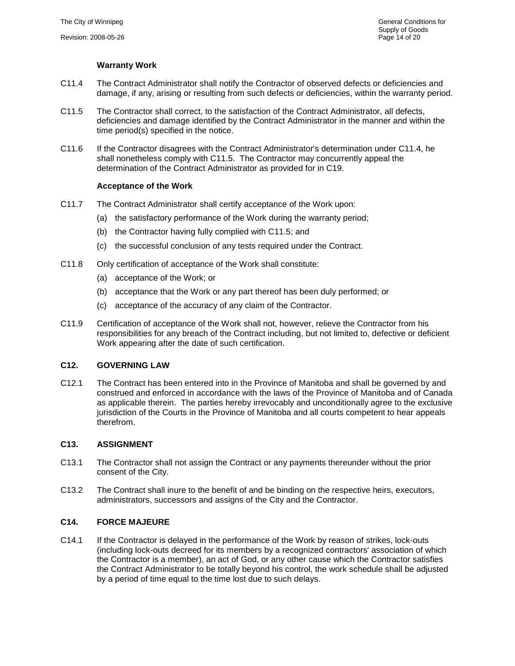# **Warranty Work**

- <span id="page-14-3"></span>C11.4 The Contract Administrator shall notify the Contractor of observed defects or deficiencies and damage, if any, arising or resulting from such defects or deficiencies, within the warranty period.
- <span id="page-14-4"></span>C11.5 The Contractor shall correct, to the satisfaction of the Contract Administrator, all defects, deficiencies and damage identified by the Contract Administrator in the manner and within the time period(s) specified in the notice.
- C11.6 If the Contractor disagrees with the Contract Administrator's determination under [C11.4,](#page-14-3) he shall nonetheless comply with [C11.5.](#page-14-4) The Contractor may concurrently appeal the determination of the Contract Administrator as provided for in [C19.](#page-18-0)

#### **Acceptance of the Work**

- C11.7 The Contract Administrator shall certify acceptance of the Work upon:
	- (a) the satisfactory performance of the Work during the warranty period;
	- (b) the Contractor having fully complied with [C11.5;](#page-14-4) and
	- (c) the successful conclusion of any tests required under the Contract.
- C11.8 Only certification of acceptance of the Work shall constitute:
	- (a) acceptance of the Work; or
	- (b) acceptance that the Work or any part thereof has been duly performed; or
	- (c) acceptance of the accuracy of any claim of the Contractor.
- C11.9 Certification of acceptance of the Work shall not, however, relieve the Contractor from his responsibilities for any breach of the Contract including, but not limited to, defective or deficient Work appearing after the date of such certification.

# <span id="page-14-0"></span>**C12. GOVERNING LAW**

C12.1 The Contract has been entered into in the Province of Manitoba and shall be governed by and construed and enforced in accordance with the laws of the Province of Manitoba and of Canada as applicable therein. The parties hereby irrevocably and unconditionally agree to the exclusive jurisdiction of the Courts in the Province of Manitoba and all courts competent to hear appeals therefrom.

#### <span id="page-14-1"></span>**C13. ASSIGNMENT**

- C13.1 The Contractor shall not assign the Contract or any payments thereunder without the prior consent of the City.
- C13.2 The Contract shall inure to the benefit of and be binding on the respective heirs, executors, administrators, successors and assigns of the City and the Contractor.

#### <span id="page-14-2"></span>**C14. FORCE MAJEURE**

C14.1 If the Contractor is delayed in the performance of the Work by reason of strikes, lock-outs (including lock-outs decreed for its members by a recognized contractors' association of which the Contractor is a member), an act of God, or any other cause which the Contractor satisfies the Contract Administrator to be totally beyond his control, the work schedule shall be adjusted by a period of time equal to the time lost due to such delays.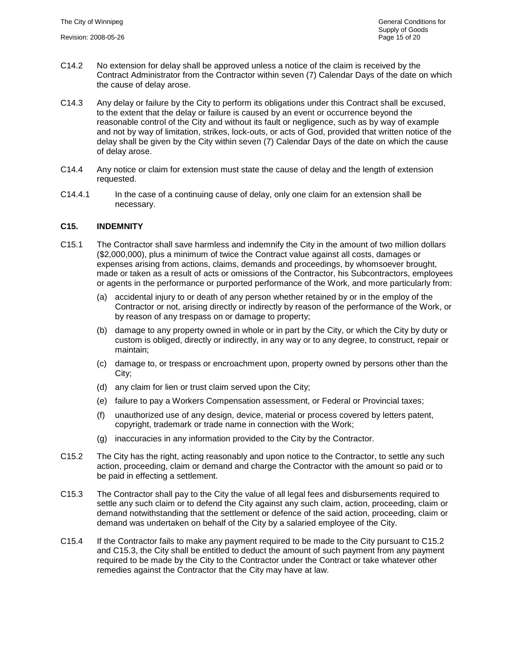- C14.2 No extension for delay shall be approved unless a notice of the claim is received by the Contract Administrator from the Contractor within seven (7) Calendar Days of the date on which the cause of delay arose.
- C14.3 Any delay or failure by the City to perform its obligations under this Contract shall be excused, to the extent that the delay or failure is caused by an event or occurrence beyond the reasonable control of the City and without its fault or negligence, such as by way of example and not by way of limitation, strikes, lock-outs, or acts of God, provided that written notice of the delay shall be given by the City within seven (7) Calendar Days of the date on which the cause of delay arose.
- C14.4 Any notice or claim for extension must state the cause of delay and the length of extension requested.
- C14.4.1 In the case of a continuing cause of delay, only one claim for an extension shall be necessary.

#### <span id="page-15-0"></span>**C15. INDEMNITY**

- C15.1 The Contractor shall save harmless and indemnify the City in the amount of two million dollars (\$2,000,000), plus a minimum of twice the Contract value against all costs, damages or expenses arising from actions, claims, demands and proceedings, by whomsoever brought, made or taken as a result of acts or omissions of the Contractor, his Subcontractors, employees or agents in the performance or purported performance of the Work, and more particularly from:
	- (a) accidental injury to or death of any person whether retained by or in the employ of the Contractor or not, arising directly or indirectly by reason of the performance of the Work, or by reason of any trespass on or damage to property;
	- (b) damage to any property owned in whole or in part by the City, or which the City by duty or custom is obliged, directly or indirectly, in any way or to any degree, to construct, repair or maintain;
	- (c) damage to, or trespass or encroachment upon, property owned by persons other than the City;
	- (d) any claim for lien or trust claim served upon the City;
	- (e) failure to pay a Workers Compensation assessment, or Federal or Provincial taxes;
	- (f) unauthorized use of any design, device, material or process covered by letters patent, copyright, trademark or trade name in connection with the Work;
	- (g) inaccuracies in any information provided to the City by the Contractor.
- <span id="page-15-1"></span>C15.2 The City has the right, acting reasonably and upon notice to the Contractor, to settle any such action, proceeding, claim or demand and charge the Contractor with the amount so paid or to be paid in effecting a settlement.
- <span id="page-15-2"></span>C15.3 The Contractor shall pay to the City the value of all legal fees and disbursements required to settle any such claim or to defend the City against any such claim, action, proceeding, claim or demand notwithstanding that the settlement or defence of the said action, proceeding, claim or demand was undertaken on behalf of the City by a salaried employee of the City.
- C15.4 If the Contractor fails to make any payment required to be made to the City pursuant to [C15.2](#page-15-1) and [C15.3,](#page-15-2) the City shall be entitled to deduct the amount of such payment from any payment required to be made by the City to the Contractor under the Contract or take whatever other remedies against the Contractor that the City may have at law.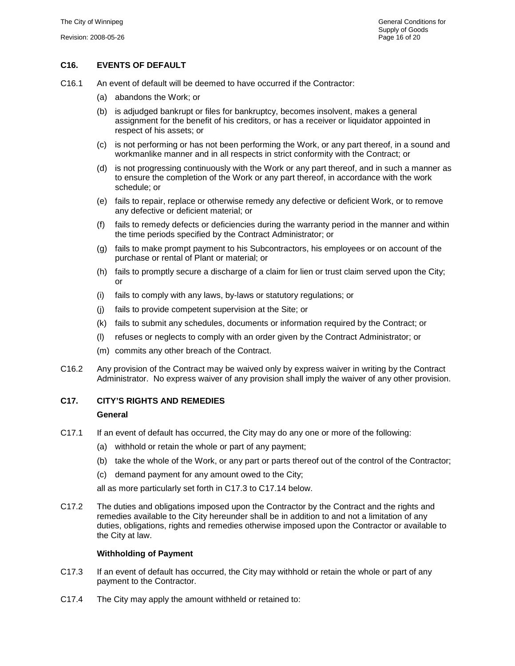# <span id="page-16-0"></span>**C16. EVENTS OF DEFAULT**

- C16.1 An event of default will be deemed to have occurred if the Contractor:
	- (a) abandons the Work; or
	- (b) is adjudged bankrupt or files for bankruptcy, becomes insolvent, makes a general assignment for the benefit of his creditors, or has a receiver or liquidator appointed in respect of his assets; or
	- (c) is not performing or has not been performing the Work, or any part thereof, in a sound and workmanlike manner and in all respects in strict conformity with the Contract; or
	- (d) is not progressing continuously with the Work or any part thereof, and in such a manner as to ensure the completion of the Work or any part thereof, in accordance with the work schedule; or
	- (e) fails to repair, replace or otherwise remedy any defective or deficient Work, or to remove any defective or deficient material; or
	- (f) fails to remedy defects or deficiencies during the warranty period in the manner and within the time periods specified by the Contract Administrator; or
	- (g) fails to make prompt payment to his Subcontractors, his employees or on account of the purchase or rental of Plant or material; or
	- (h) fails to promptly secure a discharge of a claim for lien or trust claim served upon the City; or
	- (i) fails to comply with any laws, by-laws or statutory regulations; or
	- (j) fails to provide competent supervision at the Site; or
	- (k) fails to submit any schedules, documents or information required by the Contract; or
	- (l) refuses or neglects to comply with an order given by the Contract Administrator; or
	- (m) commits any other breach of the Contract.
- C16.2 Any provision of the Contract may be waived only by express waiver in writing by the Contract Administrator. No express waiver of any provision shall imply the waiver of any other provision.

# <span id="page-16-1"></span>**C17. CITY'S RIGHTS AND REMEDIES**

#### **General**

- C17.1 If an event of default has occurred, the City may do any one or more of the following:
	- (a) withhold or retain the whole or part of any payment;
	- (b) take the whole of the Work, or any part or parts thereof out of the control of the Contractor;
	- (c) demand payment for any amount owed to the City;

all as more particularly set forth in [C17.3](#page-16-2) to [C17.14](#page-17-1) below.

C17.2 The duties and obligations imposed upon the Contractor by the Contract and the rights and remedies available to the City hereunder shall be in addition to and not a limitation of any duties, obligations, rights and remedies otherwise imposed upon the Contractor or available to the City at law.

#### **Withholding of Payment**

- <span id="page-16-2"></span>C17.3 If an event of default has occurred, the City may withhold or retain the whole or part of any payment to the Contractor.
- C17.4 The City may apply the amount withheld or retained to: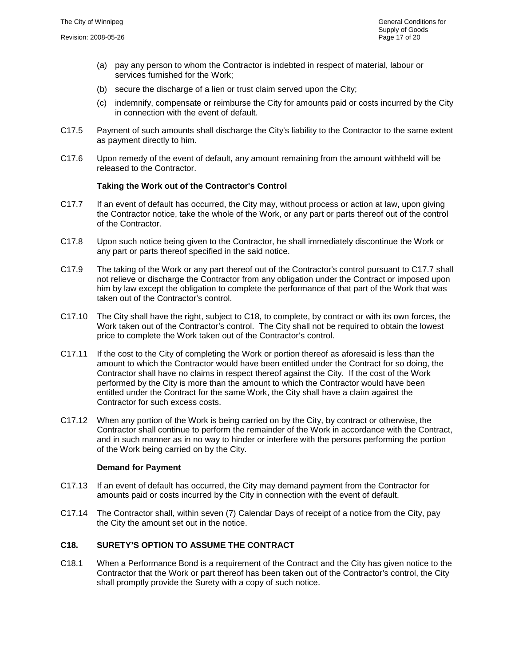- (a) pay any person to whom the Contractor is indebted in respect of material, labour or services furnished for the Work;
- (b) secure the discharge of a lien or trust claim served upon the City;
- (c) indemnify, compensate or reimburse the City for amounts paid or costs incurred by the City in connection with the event of default.
- C17.5 Payment of such amounts shall discharge the City's liability to the Contractor to the same extent as payment directly to him.
- C17.6 Upon remedy of the event of default, any amount remaining from the amount withheld will be released to the Contractor.

#### **Taking the Work out of the Contractor's Control**

- <span id="page-17-2"></span>C17.7 If an event of default has occurred, the City may, without process or action at law, upon giving the Contractor notice, take the whole of the Work, or any part or parts thereof out of the control of the Contractor.
- C17.8 Upon such notice being given to the Contractor, he shall immediately discontinue the Work or any part or parts thereof specified in the said notice.
- C17.9 The taking of the Work or any part thereof out of the Contractor's control pursuant to [C17.7](#page-17-2) shall not relieve or discharge the Contractor from any obligation under the Contract or imposed upon him by law except the obligation to complete the performance of that part of the Work that was taken out of the Contractor's control.
- C17.10 The City shall have the right, subject to [C18,](#page-17-0) to complete, by contract or with its own forces, the Work taken out of the Contractor's control. The City shall not be required to obtain the lowest price to complete the Work taken out of the Contractor's control.
- C17.11 If the cost to the City of completing the Work or portion thereof as aforesaid is less than the amount to which the Contractor would have been entitled under the Contract for so doing, the Contractor shall have no claims in respect thereof against the City. If the cost of the Work performed by the City is more than the amount to which the Contractor would have been entitled under the Contract for the same Work, the City shall have a claim against the Contractor for such excess costs.
- C17.12 When any portion of the Work is being carried on by the City, by contract or otherwise, the Contractor shall continue to perform the remainder of the Work in accordance with the Contract, and in such manner as in no way to hinder or interfere with the persons performing the portion of the Work being carried on by the City.

#### **Demand for Payment**

- C17.13 If an event of default has occurred, the City may demand payment from the Contractor for amounts paid or costs incurred by the City in connection with the event of default.
- <span id="page-17-1"></span>C17.14 The Contractor shall, within seven (7) Calendar Days of receipt of a notice from the City, pay the City the amount set out in the notice.

# <span id="page-17-0"></span>**C18. SURETY'S OPTION TO ASSUME THE CONTRACT**

C18.1 When a Performance Bond is a requirement of the Contract and the City has given notice to the Contractor that the Work or part thereof has been taken out of the Contractor's control, the City shall promptly provide the Surety with a copy of such notice.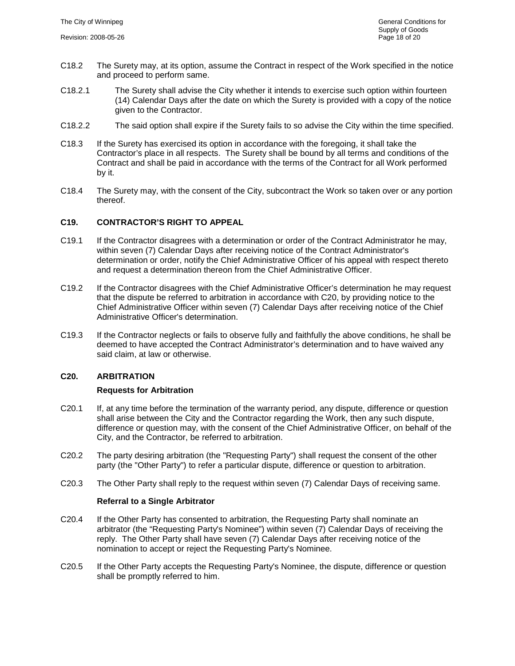- C18.2 The Surety may, at its option, assume the Contract in respect of the Work specified in the notice and proceed to perform same.
- C18.2.1 The Surety shall advise the City whether it intends to exercise such option within fourteen (14) Calendar Days after the date on which the Surety is provided with a copy of the notice given to the Contractor.
- C18.2.2 The said option shall expire if the Surety fails to so advise the City within the time specified.
- C18.3 If the Surety has exercised its option in accordance with the foregoing, it shall take the Contractor's place in all respects. The Surety shall be bound by all terms and conditions of the Contract and shall be paid in accordance with the terms of the Contract for all Work performed by it.
- C18.4 The Surety may, with the consent of the City, subcontract the Work so taken over or any portion thereof.

# <span id="page-18-0"></span>**C19. CONTRACTOR'S RIGHT TO APPEAL**

- C19.1 If the Contractor disagrees with a determination or order of the Contract Administrator he may, within seven (7) Calendar Days after receiving notice of the Contract Administrator's determination or order, notify the Chief Administrative Officer of his appeal with respect thereto and request a determination thereon from the Chief Administrative Officer.
- C19.2 If the Contractor disagrees with the Chief Administrative Officer's determination he may request that the dispute be referred to arbitration in accordance with [C20,](#page-18-1) by providing notice to the Chief Administrative Officer within seven (7) Calendar Days after receiving notice of the Chief Administrative Officer's determination.
- C19.3 If the Contractor neglects or fails to observe fully and faithfully the above conditions, he shall be deemed to have accepted the Contract Administrator's determination and to have waived any said claim, at law or otherwise.

# <span id="page-18-1"></span>**C20. ARBITRATION**

#### **Requests for Arbitration**

- C20.1 If, at any time before the termination of the warranty period, any dispute, difference or question shall arise between the City and the Contractor regarding the Work, then any such dispute, difference or question may, with the consent of the Chief Administrative Officer, on behalf of the City, and the Contractor, be referred to arbitration.
- C20.2 The party desiring arbitration (the "Requesting Party") shall request the consent of the other party (the "Other Party") to refer a particular dispute, difference or question to arbitration.
- C20.3 The Other Party shall reply to the request within seven (7) Calendar Days of receiving same.

#### **Referral to a Single Arbitrator**

- C20.4 If the Other Party has consented to arbitration, the Requesting Party shall nominate an arbitrator (the "Requesting Party's Nominee") within seven (7) Calendar Days of receiving the reply. The Other Party shall have seven (7) Calendar Days after receiving notice of the nomination to accept or reject the Requesting Party's Nominee.
- C20.5 If the Other Party accepts the Requesting Party's Nominee, the dispute, difference or question shall be promptly referred to him.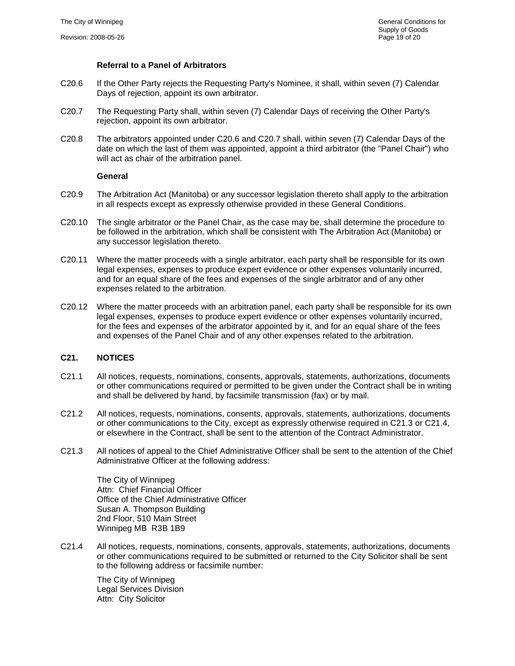#### **Referral to a Panel of Arbitrators**

- <span id="page-19-1"></span>C20.6 If the Other Party rejects the Requesting Party's Nominee, it shall, within seven (7) Calendar Days of rejection, appoint its own arbitrator.
- <span id="page-19-2"></span>C20.7 The Requesting Party shall, within seven (7) Calendar Days of receiving the Other Party's rejection, appoint its own arbitrator.
- C20.8 The arbitrators appointed under [C20.6](#page-19-1) and [C20.7](#page-19-2) shall, within seven (7) Calendar Days of the date on which the last of them was appointed, appoint a third arbitrator (the "Panel Chair") who will act as chair of the arbitration panel.

#### **General**

- C20.9 The Arbitration Act (Manitoba) or any successor legislation thereto shall apply to the arbitration in all respects except as expressly otherwise provided in these General Conditions.
- C20.10 The single arbitrator or the Panel Chair, as the case may be, shall determine the procedure to be followed in the arbitration, which shall be consistent with The Arbitration Act (Manitoba) or any successor legislation thereto.
- C20.11 Where the matter proceeds with a single arbitrator, each party shall be responsible for its own legal expenses, expenses to produce expert evidence or other expenses voluntarily incurred, and for an equal share of the fees and expenses of the single arbitrator and of any other expenses related to the arbitration.
- C20.12 Where the matter proceeds with an arbitration panel, each party shall be responsible for its own legal expenses, expenses to produce expert evidence or other expenses voluntarily incurred, for the fees and expenses of the arbitrator appointed by it, and for an equal share of the fees and expenses of the Panel Chair and of any other expenses related to the arbitration.

# <span id="page-19-0"></span>**C21. NOTICES**

- C21.1 All notices, requests, nominations, consents, approvals, statements, authorizations, documents or other communications required or permitted to be given under the Contract shall be in writing and shall be delivered by hand, by facsimile transmission (fax) or by mail.
- C21.2 All notices, requests, nominations, consents, approvals, statements, authorizations, documents or other communications to the City, except as expressly otherwise required in C21.3 or C21.4, or elsewhere in the Contract, shall be sent to the attention of the Contract Administrator.
- C21.3 All notices of appeal to the Chief Administrative Officer shall be sent to the attention of the Chief Administrative Officer at the following address:

The City of Winnipeg Attn: Chief Financial Officer Office of the Chief Administrative Officer Susan A. Thompson Building 2nd Floor, 510 Main Street Winnipeg MB R3B 1B9

C21.4 All notices, requests, nominations, consents, approvals, statements, authorizations, documents or other communications required to be submitted or returned to the City Solicitor shall be sent to the following address or facsimile number:

The City of Winnipeg Legal Services Division Attn: City Solicitor